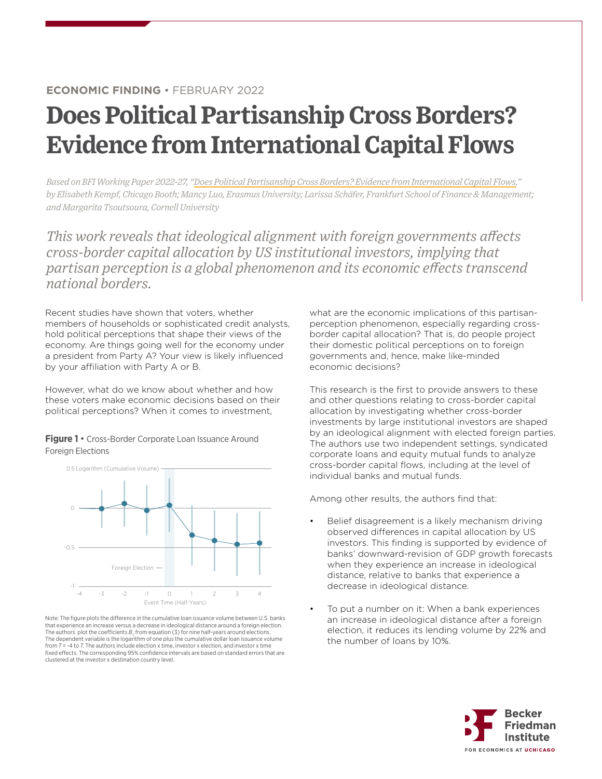## **ECONOMIC FINDING** • FEBRUARY 2022

# **Does Political Partisanship Cross Borders? Evidence from International Capital Flows**

*Based on BFI Working Paper 2022-27, ["Does Political Partisanship Cross Borders? Evidence from International Capital Flows,](https://bfi.uchicago.edu/working-paper/does-political-partisanship-cross-borders-evidence-from-international-capital-flows/)" by Elisabeth Kempf, Chicago Booth; Mancy Luo, Erasmus University; Larissa Scha¨fer, Frankfurt School of Finance & Management; and Margarita Tsoutsoura, Cornell University*

*This work reveals that ideological alignment with foreign governments affects cross-border capital allocation by US institutional investors, implying that partisan perception is a global phenomenon and its economic effects transcend national borders.*

Recent studies have shown that voters, whether members of households or sophisticated credit analysts, hold political perceptions that shape their views of the economy. Are things going well for the economy under a president from Party A? Your view is likely influenced by your affiliation with Party A or B.

However, what do we know about whether and how these voters make economic decisions based on their political perceptions? When it comes to investment,

**Figure 1** • Cross-Border Corporate Loan Issuance Around **Foreign Elections** 



that experience an increase versus a decrease in ideological distance around a foreign election. The authors plot the coefficients  $B<sub>T</sub>$  from equation (3) for nine half-years around elections. The dependent variable is the logarithm of one plus the cumulative dollar loan issuance volume from  $T = -4$  to  $T$ . The authors include election x time, investor x election, and investor x time fixed effects. The corresponding 95% confidence intervals are based on standard errors that are clustered at the investor x destination country level. Note: The figure plots the difference in the cumulative loan issuance volume between U.S. banks what are the economic implications of this partisanperception phenomenon, especially regarding crossborder capital allocation? That is, do people project their domestic political perceptions on to foreign governments and, hence, make like-minded economic decisions?

This research is the first to provide answers to these and other questions relating to cross-border capital allocation by investigating whether cross-border investments by large institutional investors are shaped by an ideological alignment with elected foreign parties. The authors use two independent settings, syndicated corporate loans and equity mutual funds to analyze cross-border capital flows, including at the level of individual banks and mutual funds.

Among other results, the authors find that:

- Belief disagreement is a likely mechanism driving observed differences in capital allocation by US investors. This finding is supported by evidence of banks' downward-revision of GDP growth forecasts when they experience an increase in ideological distance, relative to banks that experience a decrease in ideological distance.
- To put a number on it: When a bank experiences an increase in ideological distance after a foreign election, it reduces its lending volume by 22% and the number of loans by 10%.